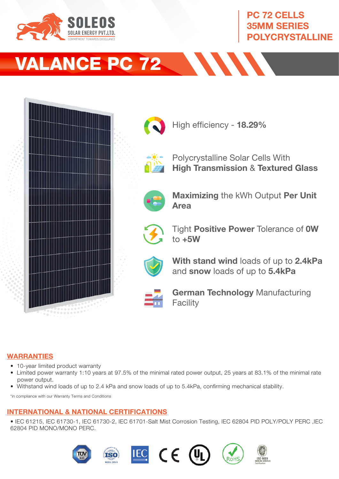

## PC 72 CELLS 35MM SERIES POLYCRYSTALLINE

# VALANCE PC 72



**ANN** 

#### WARRANTIES

- 10-year limited product warranty
- Limited power warranty 1:10 years at 97.5% of the minimal rated power output, 25 years at 83.1% of the minimal rate power output.
- Withstand wind loads of up to 2.4 kPa and snow loads of up to 5.4kPa, confirming mechanical stability.

\*in compliance with our Warranty Terms and Conditions

### INTERNATIONAL & NATIONAL CERTIFICATIONS

• IEC 61215, IEC 61730-1, IEC 61730-2, IEC 61701-Salt Mist Corrosion Testing, IEC 62804 PID POLY/POLY PERC ,IEC 62804 PID MONO/MONO PERC.